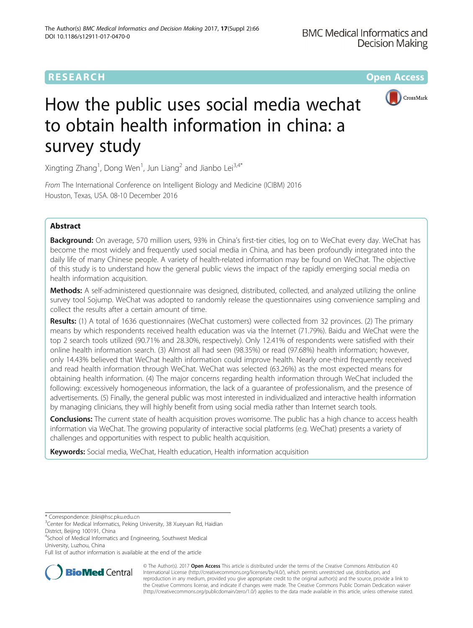



# How the public uses social media wechat to obtain health information in china: a survey study

Xingting Zhang<sup>1</sup>, Dong Wen<sup>1</sup>, Jun Liang<sup>2</sup> and Jianbo Lei<sup>3,4\*</sup>

From The International Conference on Intelligent Biology and Medicine (ICIBM) 2016 Houston, Texas, USA. 08-10 December 2016

# Abstract

Background: On average, 570 million users, 93% in China's first-tier cities, log on to WeChat every day. WeChat has become the most widely and frequently used social media in China, and has been profoundly integrated into the daily life of many Chinese people. A variety of health-related information may be found on WeChat. The objective of this study is to understand how the general public views the impact of the rapidly emerging social media on health information acquisition.

Methods: A self-administered questionnaire was designed, distributed, collected, and analyzed utilizing the online survey tool Sojump. WeChat was adopted to randomly release the questionnaires using convenience sampling and collect the results after a certain amount of time.

Results: (1) A total of 1636 questionnaires (WeChat customers) were collected from 32 provinces. (2) The primary means by which respondents received health education was via the Internet (71.79%). Baidu and WeChat were the top 2 search tools utilized (90.71% and 28.30%, respectively). Only 12.41% of respondents were satisfied with their online health information search. (3) Almost all had seen (98.35%) or read (97.68%) health information; however, only 14.43% believed that WeChat health information could improve health. Nearly one-third frequently received and read health information through WeChat. WeChat was selected (63.26%) as the most expected means for obtaining health information. (4) The major concerns regarding health information through WeChat included the following: excessively homogeneous information, the lack of a guarantee of professionalism, and the presence of advertisements. (5) Finally, the general public was most interested in individualized and interactive health information by managing clinicians, they will highly benefit from using social media rather than Internet search tools.

Conclusions: The current state of health acquisition proves worrisome. The public has a high chance to access health information via WeChat. The growing popularity of interactive social platforms (e.g. WeChat) presents a variety of challenges and opportunities with respect to public health acquisition.

Keywords: Social media, WeChat, Health education, Health information acquisition

Full list of author information is available at the end of the article



© The Author(s). 2017 **Open Access** This article is distributed under the terms of the Creative Commons Attribution 4.0 International License [\(http://creativecommons.org/licenses/by/4.0/](http://creativecommons.org/licenses/by/4.0/)), which permits unrestricted use, distribution, and reproduction in any medium, provided you give appropriate credit to the original author(s) and the source, provide a link to the Creative Commons license, and indicate if changes were made. The Creative Commons Public Domain Dedication waiver [\(http://creativecommons.org/publicdomain/zero/1.0/](http://creativecommons.org/publicdomain/zero/1.0/)) applies to the data made available in this article, unless otherwise stated.

<sup>\*</sup> Correspondence: [jblei@hsc.pku.edu.cn](mailto:jblei@hsc.pku.edu.cn) <sup>3</sup>

 ${}^{3}$ Center for Medical Informatics, Peking University, 38 Xueyuan Rd, Haidian District, Beijing 100191, China

<sup>4</sup> School of Medical Informatics and Engineering, Southwest Medical University, Luzhou, China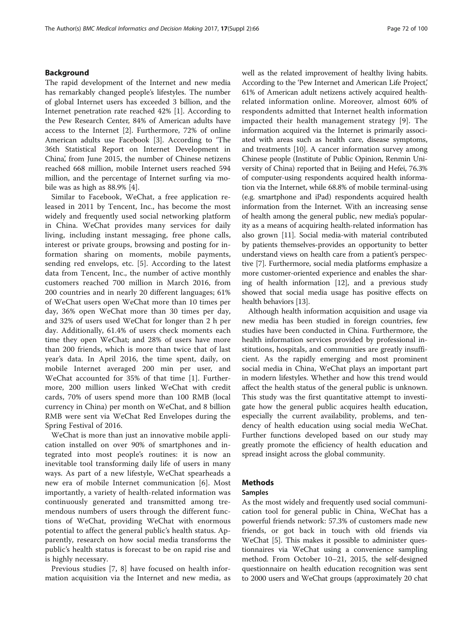# Background

The rapid development of the Internet and new media has remarkably changed people's lifestyles. The number of global Internet users has exceeded 3 billion, and the Internet penetration rate reached 42% [\[1](#page-8-0)]. According to the Pew Research Center, 84% of American adults have access to the Internet [[2](#page-8-0)]. Furthermore, 72% of online American adults use Facebook [\[3](#page-8-0)]. According to 'The 36th Statistical Report on Internet Development in China', from June 2015, the number of Chinese netizens reached 668 million, mobile Internet users reached 594 million, and the percentage of Internet surfing via mobile was as high as 88.9% [\[4](#page-8-0)].

Similar to Facebook, WeChat, a free application released in 2011 by Tencent, Inc., has become the most widely and frequently used social networking platform in China. WeChat provides many services for daily living, including instant messaging, free phone calls, interest or private groups, browsing and posting for information sharing on moments, mobile payments, sending red envelops, etc. [[5](#page-8-0)]. According to the latest data from Tencent, Inc., the number of active monthly customers reached 700 million in March 2016, from 200 countries and in nearly 20 different languages; 61% of WeChat users open WeChat more than 10 times per day, 36% open WeChat more than 30 times per day, and 32% of users used WeChat for longer than 2 h per day. Additionally, 61.4% of users check moments each time they open WeChat; and 28% of users have more than 200 friends, which is more than twice that of last year's data. In April 2016, the time spent, daily, on mobile Internet averaged 200 min per user, and WeChat accounted for 35% of that time [[1\]](#page-8-0). Furthermore, 200 million users linked WeChat with credit cards, 70% of users spend more than 100 RMB (local currency in China) per month on WeChat, and 8 billion RMB were sent via WeChat Red Envelopes during the Spring Festival of 2016.

WeChat is more than just an innovative mobile application installed on over 90% of smartphones and integrated into most people's routines: it is now an inevitable tool transforming daily life of users in many ways. As part of a new lifestyle, WeChat spearheads a new era of mobile Internet communication [[6\]](#page-8-0). Most importantly, a variety of health-related information was continuously generated and transmitted among tremendous numbers of users through the different functions of WeChat, providing WeChat with enormous potential to affect the general public's health status. Apparently, research on how social media transforms the public's health status is forecast to be on rapid rise and is highly necessary.

Previous studies [[7, 8\]](#page-8-0) have focused on health information acquisition via the Internet and new media, as well as the related improvement of healthy living habits. According to the 'Pew Internet and American Life Project,' 61% of American adult netizens actively acquired healthrelated information online. Moreover, almost 60% of respondents admitted that Internet health information impacted their health management strategy [\[9](#page-8-0)]. The information acquired via the Internet is primarily associated with areas such as health care, disease symptoms, and treatments [[10](#page-8-0)]. A cancer information survey among Chinese people (Institute of Public Opinion, Renmin University of China) reported that in Beijing and Hefei, 76.3% of computer-using respondents acquired health information via the Internet, while 68.8% of mobile terminal-using (e.g. smartphone and iPad) respondents acquired health information from the Internet. With an increasing sense of health among the general public, new media's popularity as a means of acquiring health-related information has also grown [[11](#page-8-0)]. Social media-with material contributed by patients themselves-provides an opportunity to better understand views on health care from a patient's perspective [\[7](#page-8-0)]. Furthermore, social media platforms emphasize a more customer-oriented experience and enables the sharing of health information [[12](#page-8-0)], and a previous study showed that social media usage has positive effects on health behaviors [\[13](#page-8-0)].

Although health information acquisition and usage via new media has been studied in foreign countries, few studies have been conducted in China. Furthermore, the health information services provided by professional institutions, hospitals, and communities are greatly insufficient. As the rapidly emerging and most prominent social media in China, WeChat plays an important part in modern lifestyles. Whether and how this trend would affect the health status of the general public is unknown. This study was the first quantitative attempt to investigate how the general public acquires health education, especially the current availability, problems, and tendency of health education using social media WeChat. Further functions developed based on our study may greatly promote the efficiency of health education and spread insight across the global community.

# Methods

# Samples

As the most widely and frequently used social communication tool for general public in China, WeChat has a powerful friends network: 57.3% of customers made new friends, or got back in touch with old friends via WeChat [[5](#page-8-0)]. This makes it possible to administer questionnaires via WeChat using a convenience sampling method. From October 10–21, 2015, the self-designed questionnaire on health education recognition was sent to 2000 users and WeChat groups (approximately 20 chat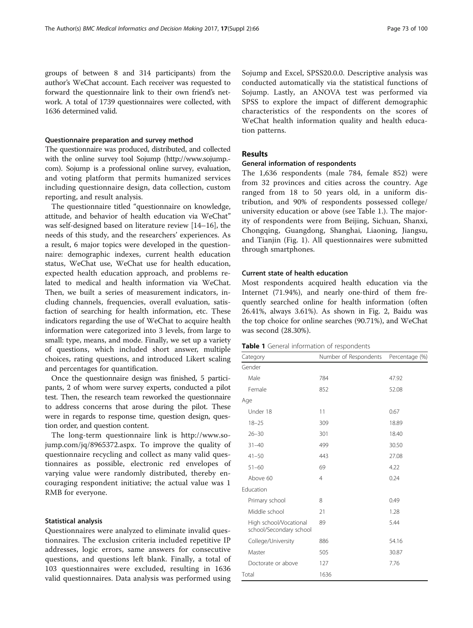groups of between 8 and 314 participants) from the author's WeChat account. Each receiver was requested to forward the questionnaire link to their own friend's network. A total of 1739 questionnaires were collected, with 1636 determined valid.

# Questionnaire preparation and survey method

The questionnaire was produced, distributed, and collected with the online survey tool Sojump [\(http://www.sojump.](http://www.sojump.com/) [com\)](http://www.sojump.com/). Sojump is a professional online survey, evaluation, and voting platform that permits humanized services including questionnaire design, data collection, custom reporting, and result analysis.

The questionnaire titled "questionnaire on knowledge, attitude, and behavior of health education via WeChat" was self-designed based on literature review [[14](#page-8-0)–[16](#page-8-0)], the needs of this study, and the researchers' experiences. As a result, 6 major topics were developed in the questionnaire: demographic indexes, current health education status, WeChat use, WeChat use for health education, expected health education approach, and problems related to medical and health information via WeChat. Then, we built a series of measurement indicators, including channels, frequencies, overall evaluation, satisfaction of searching for health information, etc. These indicators regarding the use of WeChat to acquire health information were categorized into 3 levels, from large to small: type, means, and mode. Finally, we set up a variety of questions, which included short answer, multiple choices, rating questions, and introduced Likert scaling and percentages for quantification.

Once the questionnaire design was finished, 5 participants, 2 of whom were survey experts, conducted a pilot test. Then, the research team reworked the questionnaire to address concerns that arose during the pilot. These were in regards to response time, question design, question order, and question content.

The long-term questionnaire link is [http://www.so](http://www.sojump.com/jq/8965372.aspx)[jump.com/jq/8965372.aspx.](http://www.sojump.com/jq/8965372.aspx) To improve the quality of questionnaire recycling and collect as many valid questionnaires as possible, electronic red envelopes of varying value were randomly distributed, thereby encouraging respondent initiative; the actual value was 1 RMB for everyone.

# Statistical analysis

Questionnaires were analyzed to eliminate invalid questionnaires. The exclusion criteria included repetitive IP addresses, logic errors, same answers for consecutive questions, and questions left blank. Finally, a total of 103 questionnaires were excluded, resulting in 1636 valid questionnaires. Data analysis was performed using

Sojump and Excel, SPSS20.0.0. Descriptive analysis was conducted automatically via the statistical functions of Sojump. Lastly, an ANOVA test was performed via SPSS to explore the impact of different demographic characteristics of the respondents on the scores of WeChat health information quality and health education patterns.

# Results

# General information of respondents

The 1,636 respondents (male 784, female 852) were from 32 provinces and cities across the country. Age ranged from 18 to 50 years old, in a uniform distribution, and 90% of respondents possessed college/ university education or above (see Table 1.). The majority of respondents were from Beijing, Sichuan, Shanxi, Chongqing, Guangdong, Shanghai, Liaoning, Jiangsu, and Tianjin (Fig. [1](#page-3-0)). All questionnaires were submitted through smartphones.

# Current state of health education

Most respondents acquired health education via the Internet (71.94%), and nearly one-third of them frequently searched online for health information (often 26.41%, always 3.61%). As shown in Fig. [2](#page-3-0), Baidu was the top choice for online searches (90.71%), and WeChat was second (28.30%).

| Table 1 General information of respondents |  |
|--------------------------------------------|--|
|--------------------------------------------|--|

| Category                                          | Number of Respondents | Percentage (%) |  |
|---------------------------------------------------|-----------------------|----------------|--|
| Gender                                            |                       |                |  |
| Male                                              | 784                   | 47.92          |  |
| Female                                            | 852                   | 52.08          |  |
| Age                                               |                       |                |  |
| Under 18                                          | 11                    | 0.67           |  |
| $18 - 25$                                         | 309                   | 18.89          |  |
| $26 - 30$                                         | 301                   | 18.40          |  |
| $31 - 40$                                         | 499                   | 30.50          |  |
| $41 - 50$                                         | 443                   | 27.08          |  |
| $51 - 60$                                         | 69                    | 4.22           |  |
| Above 60                                          | 4                     | 0.24           |  |
| Education                                         |                       |                |  |
| Primary school                                    | 8                     | 0.49           |  |
| Middle school                                     | 21                    | 1.28           |  |
| High school/Vocational<br>school/Secondary school | 89                    | 5.44           |  |
| College/University                                | 886                   | 54.16          |  |
| Master                                            | 505                   | 30.87          |  |
| Doctorate or above                                | 127                   | 7.76           |  |
| Total                                             | 1636                  |                |  |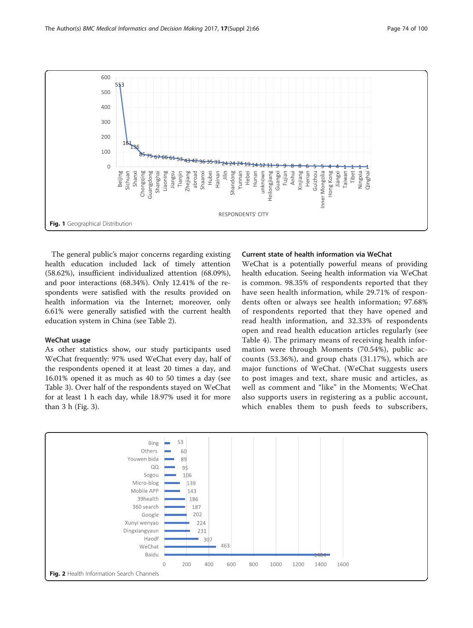<span id="page-3-0"></span>

The general public's major concerns regarding existing health education included lack of timely attention (58.62%), insufficient individualized attention (68.09%), and poor interactions (68.34%). Only 12.41% of the respondents were satisfied with the results provided on health information via the Internet; moreover, only 6.61% were generally satisfied with the current health education system in China (see Table [2\)](#page-4-0).

# WeChat usage

As other statistics show, our study participants used WeChat frequently: 97% used WeChat every day, half of the respondents opened it at least 20 times a day, and 16.01% opened it as much as 40 to 50 times a day (see Table [3\)](#page-4-0). Over half of the respondents stayed on WeChat for at least 1 h each day, while 18.97% used it for more than 3 h (Fig. [3\)](#page-5-0).

# Current state of health information via WeChat

WeChat is a potentially powerful means of providing health education. Seeing health information via WeChat is common. 98.35% of respondents reported that they have seen health information, while 29.71% of respondents often or always see health information; 97.68% of respondents reported that they have opened and read health information, and 32.33% of respondents open and read health education articles regularly (see Table [4](#page-5-0)). The primary means of receiving health information were through Moments (70.54%), public accounts (53.36%), and group chats (31.17%), which are major functions of WeChat. (WeChat suggests users to post images and text, share music and articles, as well as comment and "like" in the Moments; WeChat also supports users in registering as a public account, which enables them to push feeds to subscribers,

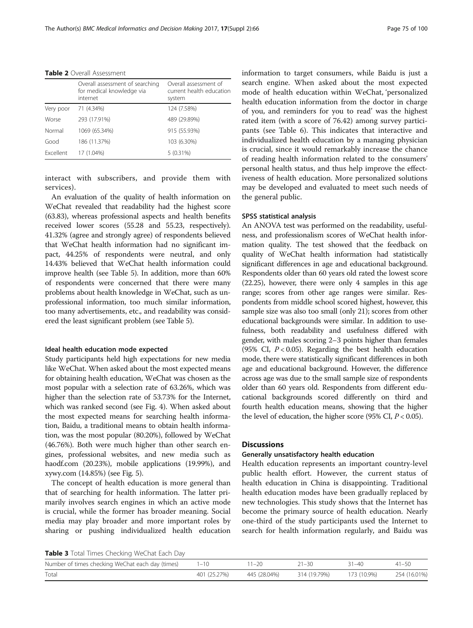<span id="page-4-0"></span>

| <b>Table 2</b> Overall Assessment |
|-----------------------------------|
|-----------------------------------|

|           | Overall assessment of searching<br>for medical knowledge via<br>internet | Overall assessment of<br>current health education<br>system |
|-----------|--------------------------------------------------------------------------|-------------------------------------------------------------|
| Very poor | 71 (4.34%)                                                               | 124 (7.58%)                                                 |
| Worse     | 293 (17.91%)                                                             | 489 (29.89%)                                                |
| Normal    | 1069 (65.34%)                                                            | 915 (55.93%)                                                |
| Good      | 186 (11.37%)                                                             | 103 (6.30%)                                                 |
| Excellent | 17 (1.04%)                                                               | $5(0.31\%)$                                                 |

interact with subscribers, and provide them with services).

An evaluation of the quality of health information on WeChat revealed that readability had the highest score (63.83), whereas professional aspects and health benefits received lower scores (55.28 and 55.23, respectively). 41.32% (agree and strongly agree) of respondents believed that WeChat health information had no significant impact, 44.25% of respondents were neutral, and only 14.43% believed that WeChat health information could improve health (see Table [5](#page-6-0)). In addition, more than 60% of respondents were concerned that there were many problems about health knowledge in WeChat, such as unprofessional information, too much similar information, too many advertisements, etc., and readability was considered the least significant problem (see Table [5](#page-6-0)).

# Ideal health education mode expected

Study participants held high expectations for new media like WeChat. When asked about the most expected means for obtaining health education, WeChat was chosen as the most popular with a selection rate of 63.26%, which was higher than the selection rate of 53.73% for the Internet, which was ranked second (see Fig. [4\)](#page-6-0). When asked about the most expected means for searching health information, Baidu, a traditional means to obtain health information, was the most popular (80.20%), followed by WeChat (46.76%). Both were much higher than other search engines, professional websites, and new media such as haodf.com (20.23%), mobile applications (19.99%), and xywy.com (14.85%) (see Fig. [5](#page-7-0)).

The concept of health education is more general than that of searching for health information. The latter primarily involves search engines in which an active mode is crucial, while the former has broader meaning. Social media may play broader and more important roles by sharing or pushing individualized health education information to target consumers, while Baidu is just a search engine. When asked about the most expected mode of health education within WeChat, 'personalized health education information from the doctor in charge of you, and reminders for you to read' was the highest rated item (with a score of 76.42) among survey participants (see Table [6\)](#page-7-0). This indicates that interactive and individualized health education by a managing physician is crucial, since it would remarkably increase the chance of reading health information related to the consumers' personal health status, and thus help improve the effectiveness of health education. More personalized solutions may be developed and evaluated to meet such needs of the general public.

# SPSS statistical analysis

An ANOVA test was performed on the readability, usefulness, and professionalism scores of WeChat health information quality. The test showed that the feedback on quality of WeChat health information had statistically significant differences in age and educational background. Respondents older than 60 years old rated the lowest score (22.25), however, there were only 4 samples in this age range; scores from other age ranges were similar. Respondents from middle school scored highest, however, this sample size was also too small (only 21); scores from other educational backgrounds were similar. In addition to usefulness, both readability and usefulness differed with gender, with males scoring 2–3 points higher than females (95% CI,  $P < 0.05$ ). Regarding the best health education mode, there were statistically significant differences in both age and educational background. However, the difference across age was due to the small sample size of respondents older than 60 years old. Respondents from different educational backgrounds scored differently on third and fourth health education means, showing that the higher the level of education, the higher score (95% CI,  $P < 0.05$ ).

# **Discussions**

# Generally unsatisfactory health education

Health education represents an important country-level public health effort. However, the current status of health education in China is disappointing. Traditional health education modes have been gradually replaced by new technologies. This study shows that the Internet has become the primary source of health education. Nearly one-third of the study participants used the Internet to search for health information regularly, and Baidu was

Table 3 Total Times Checking WeChat Each Day

| Number of times checking WeChat each day (times) | $-10$        | $1 - 20$     | $1 - 30$     | 31–40       | $41 - 50$    |
|--------------------------------------------------|--------------|--------------|--------------|-------------|--------------|
| Total                                            | 401 (25.27%) | 445 (28.04%) | 314 (19.79%) | 173 (10.9%) | 254 (16.01%) |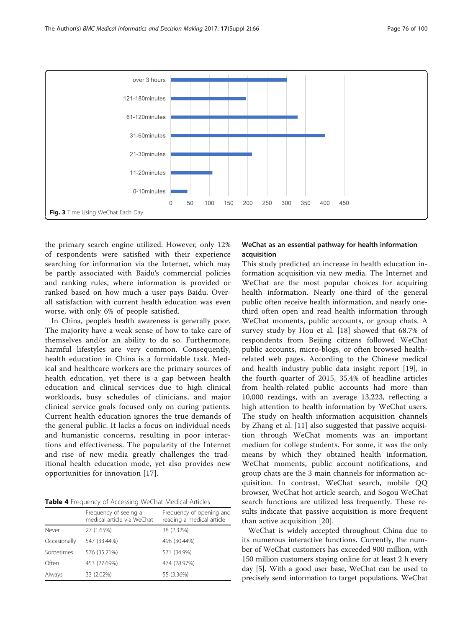<span id="page-5-0"></span>

the primary search engine utilized. However, only 12% of respondents were satisfied with their experience searching for information via the Internet, which may be partly associated with Baidu's commercial policies and ranking rules, where information is provided or ranked based on how much a user pays Baidu. Overall satisfaction with current health education was even worse, with only 6% of people satisfied.

In China, people's health awareness is generally poor. The majority have a weak sense of how to take care of themselves and/or an ability to do so. Furthermore, harmful lifestyles are very common. Consequently, health education in China is a formidable task. Medical and healthcare workers are the primary sources of health education, yet there is a gap between health education and clinical services due to high clinical workloads, busy schedules of clinicians, and major clinical service goals focused only on curing patients. Current health education ignores the true demands of the general public. It lacks a focus on individual needs and humanistic concerns, resulting in poor interactions and effectiveness. The popularity of the Internet and rise of new media greatly challenges the traditional health education mode, yet also provides new opportunities for innovation [[17](#page-8-0)].

|  |  | Table 4 Frequency of Accessing WeChat Medical Articles |  |  |  |  |  |
|--|--|--------------------------------------------------------|--|--|--|--|--|
|--|--|--------------------------------------------------------|--|--|--|--|--|

|              | Frequency of seeing a<br>medical article via WeChat | Frequency of opening and<br>reading a medical article |
|--------------|-----------------------------------------------------|-------------------------------------------------------|
| Never        | 27 (1.65%)                                          | 38 (2.32%)                                            |
| Occasionally | 547 (33.44%)                                        | 498 (30.44%)                                          |
| Sometimes    | 576 (35.21%)                                        | 571 (34.9%)                                           |
| Often        | 453 (27.69%)                                        | 474 (28.97%)                                          |
| Always       | 33 (2.02%)                                          | 55 (3.36%)                                            |

# WeChat as an essential pathway for health information acquisition

This study predicted an increase in health education information acquisition via new media. The Internet and WeChat are the most popular choices for acquiring health information. Nearly one-third of the general public often receive health information, and nearly onethird often open and read health information through WeChat moments, public accounts, or group chats. A survey study by Hou et al. [\[18](#page-8-0)] showed that 68.7% of respondents from Beijing citizens followed WeChat public accounts, micro-blogs, or often browsed healthrelated web pages. According to the Chinese medical and health industry public data insight report [[19\]](#page-8-0), in the fourth quarter of 2015, 35.4% of headline articles from health-related public accounts had more than 10,000 readings, with an average 13,223, reflecting a high attention to health information by WeChat users. The study on health information acquisition channels by Zhang et al. [\[11](#page-8-0)] also suggested that passive acquisition through WeChat moments was an important medium for college students. For some, it was the only means by which they obtained health information. WeChat moments, public account notifications, and group chats are the 3 main channels for information acquisition. In contrast, WeChat search, mobile QQ browser, WeChat hot article search, and Sogou WeChat search functions are utilized less frequently. These results indicate that passive acquisition is more frequent than active acquisition [[20\]](#page-8-0).

WeChat is widely accepted throughout China due to its numerous interactive functions. Currently, the number of WeChat customers has exceeded 900 million, with 150 million customers staying online for at least 2 h every day [\[5](#page-8-0)]. With a good user base, WeChat can be used to precisely send information to target populations. WeChat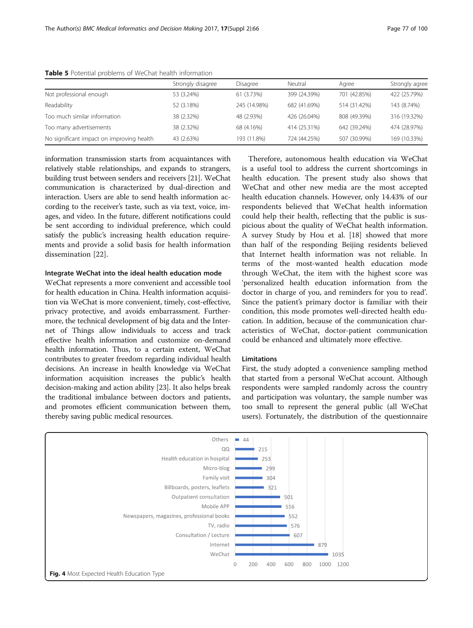|                                           | Strongly disagree | Disagree     | Neutral      | Agree        | Strongly agree |
|-------------------------------------------|-------------------|--------------|--------------|--------------|----------------|
| Not professional enough                   | 53 (3.24%)        | 61 (3.73%)   | 399 (24.39%) | 701 (42.85%) | 422 (25.79%)   |
| Readability                               | 52 (3.18%)        | 245 (14.98%) | 682 (41.69%) | 514 (31.42%) | 143 (8.74%)    |
| Too much similar information              | 38 (2.32%)        | 48 (2.93%)   | 426 (26.04%) | 808 (49.39%) | 316 (19.32%)   |
| Too many advertisements                   | 38 (2.32%)        | 68 (4.16%)   | 414 (25.31%) | 642 (39.24%) | 474 (28.97%)   |
| No significant impact on improving health | 43 (2.63%)        | 193 (11.8%)  | 724 (44.25%) | 507 (30.99%) | 169 (10.33%)   |

<span id="page-6-0"></span>Table 5 Potential problems of WeChat health information

information transmission starts from acquaintances with relatively stable relationships, and expands to strangers, building trust between senders and receivers [[21](#page-8-0)]. WeChat communication is characterized by dual-direction and interaction. Users are able to send health information according to the receiver's taste, such as via text, voice, images, and video. In the future, different notifications could be sent according to individual preference, which could satisfy the public's increasing health education requirements and provide a solid basis for health information dissemination [[22\]](#page-8-0).

# Integrate WeChat into the ideal health education mode

WeChat represents a more convenient and accessible tool for health education in China. Health information acquisition via WeChat is more convenient, timely, cost-effective, privacy protective, and avoids embarrassment. Furthermore, the technical development of big data and the Internet of Things allow individuals to access and track effective health information and customize on-demand health information. Thus, to a certain extent, WeChat contributes to greater freedom regarding individual health decisions. An increase in health knowledge via WeChat information acquisition increases the public's health decision-making and action ability [\[23\]](#page-8-0). It also helps break the traditional imbalance between doctors and patients, and promotes efficient communication between them, thereby saving public medical resources.

Therefore, autonomous health education via WeChat is a useful tool to address the current shortcomings in health education. The present study also shows that WeChat and other new media are the most accepted health education channels. However, only 14.43% of our respondents believed that WeChat health information could help their health, reflecting that the public is suspicious about the quality of WeChat health information. A survey Study by Hou et al. [[18\]](#page-8-0) showed that more than half of the responding Beijing residents believed that Internet health information was not reliable. In terms of the most-wanted health education mode through WeChat, the item with the highest score was 'personalized health education information from the doctor in charge of you, and reminders for you to read'. Since the patient's primary doctor is familiar with their condition, this mode promotes well-directed health education. In addition, because of the communication characteristics of WeChat, doctor-patient communication could be enhanced and ultimately more effective.

# Limitations

First, the study adopted a convenience sampling method that started from a personal WeChat account. Although respondents were sampled randomly across the country and participation was voluntary, the sample number was too small to represent the general public (all WeChat users). Fortunately, the distribution of the questionnaire

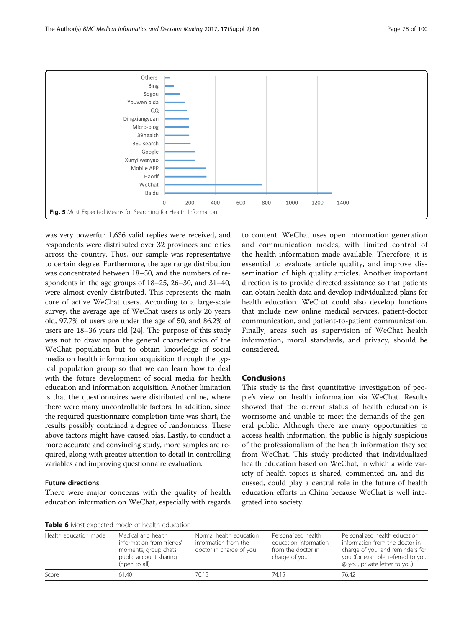<span id="page-7-0"></span>

was very powerful: 1,636 valid replies were received, and respondents were distributed over 32 provinces and cities across the country. Thus, our sample was representative to certain degree. Furthermore, the age range distribution was concentrated between 18–50, and the numbers of respondents in the age groups of 18–25, 26–30, and 31–40, were almost evenly distributed. This represents the main core of active WeChat users. According to a large-scale survey, the average age of WeChat users is only 26 years old, 97.7% of users are under the age of 50, and 86.2% of users are 18–36 years old [\[24\]](#page-8-0). The purpose of this study was not to draw upon the general characteristics of the WeChat population but to obtain knowledge of social media on health information acquisition through the typical population group so that we can learn how to deal with the future development of social media for health education and information acquisition. Another limitation is that the questionnaires were distributed online, where there were many uncontrollable factors. In addition, since the required questionnaire completion time was short, the results possibly contained a degree of randomness. These above factors might have caused bias. Lastly, to conduct a more accurate and convincing study, more samples are required, along with greater attention to detail in controlling variables and improving questionnaire evaluation.

# Future directions

There were major concerns with the quality of health education information on WeChat, especially with regards to content. WeChat uses open information generation and communication modes, with limited control of the health information made available. Therefore, it is essential to evaluate article quality, and improve dissemination of high quality articles. Another important direction is to provide directed assistance so that patients can obtain health data and develop individualized plans for health education. WeChat could also develop functions that include new online medical services, patient-doctor communication, and patient-to-patient communication. Finally, areas such as supervision of WeChat health information, moral standards, and privacy, should be considered.

# **Conclusions**

This study is the first quantitative investigation of people's view on health information via WeChat. Results showed that the current status of health education is worrisome and unable to meet the demands of the general public. Although there are many opportunities to access health information, the public is highly suspicious of the professionalism of the health information they see from WeChat. This study predicted that individualized health education based on WeChat, in which a wide variety of health topics is shared, commented on, and discussed, could play a central role in the future of health education efforts in China because WeChat is well integrated into society.

Table 6 Most expected mode of health education

| <b>TWAIL &amp;</b> MOJE CAPCELLO THOUG OF HEURT CUUCULION |                                                                                                                     |                                                                            |                                                                                     |                                                                                                                                                                            |  |  |  |
|-----------------------------------------------------------|---------------------------------------------------------------------------------------------------------------------|----------------------------------------------------------------------------|-------------------------------------------------------------------------------------|----------------------------------------------------------------------------------------------------------------------------------------------------------------------------|--|--|--|
| Health education mode                                     | Medical and health<br>information from friends'<br>moments, group chats,<br>public account sharing<br>(open to all) | Normal health education<br>information from the<br>doctor in charge of you | Personalized health<br>education information<br>from the doctor in<br>charge of you | Personalized health education<br>information from the doctor in<br>charge of you, and reminders for<br>you (for example, referred to you,<br>@ you, private letter to you) |  |  |  |
| Score                                                     | 61.40                                                                                                               | 70.15                                                                      | 74.15                                                                               | 76.42                                                                                                                                                                      |  |  |  |